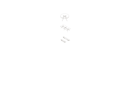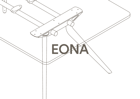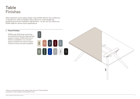# **Table** Finishes

Sleek aesthetics and timeless design make EONA ideal for the conference or boardroom, while its flexible nature allows for customisable leg positioning and post-installation adjustments – so you can you reuse your EONA table for various future applications.

#### **1 . Frame Finishes**

EONA uses 100% post-consumer recycled aluminium for legs and leg support inserts. EONA aluminium frame is available in our current season powdercoat colours listed. Custom colours are also available.



Colours are representative only, please check with your Thinking Works consultant to view samples of any specific colour.

1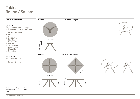# **Tables** Round / Square

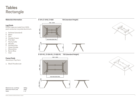## **Tables** Rectangle

### **Materials Information** E-1211, E-1216, E-1222 720 (standard Height)

720 + 5mm + 5mm + 5mm + 5mm + 5mm + 5mm + 5mm + 5mm + 5mm + 5mm + 5mm + 5mm + 5mm + 5mm + 5mm + 5mm + 5mm + 5m

### **Leg Finish**

EONA Legs are made from 100% post-consumer recycled aluminium.

- a. Polished (standard)
- b. Blanc
- c. Noir
- d. Double Cream
- e. Pink Salt
- f. Nocturnelle
- g. Morello
- h. Scotland Sky
- i. Green Smoke
- j. Moonshine
- k. Byron Blue
- l. Axel

### **Frame Finish**

Aluminium Top Horn

a. Black Powdercoat











Maximum inc. worktop 100kg Maximum Point Load 30kg Seats 4-8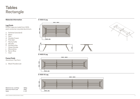## **Tables** Rectangle

### **Leg Finish**

EONA Legs are made from 100% post-consumer recycled aluminium.

- a. Polished (standard)
- b. Blanc
- c. Noir
- d. Double Cream
- e. Pink Salt
- f. Nocturnelle
- g. Morello
- h. Scotland Sky
- i. Green Smoke
- j. Moonshine
- k. Byron Blue
- l. Axel

### **Frame Finish**

Aluminium Top Horn

a. Black Powdercoat





### E-1500 10 Leg

MAX. 450

Maximum inc. worktop 160kg Maximum Point Load 30kg Seats 6-24

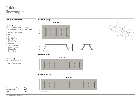## **Tables** Rectangle

### **Materials Information** E-1300-XL 6 Leg



EONA Legs are made from 100% post-consumer recycled aluminium.

- a. Polished (standard)
- b. Blanc
- c. Noir
- d. Double Cream
- e. Pink Salt
- f. Nocturnelle
- g. Morello
- h. Scotland Sky
- i. Green Smoke
- j. Moonshine
- k. Byron Blue
- l. Axel

### **Frame Finish**

Aluminium Top Horn

a. Black Powdercoat







### E-1500-XL 10 Leg

Maximum inc. worktop 160kg Maximum Point Load 30kg Seats 6-24

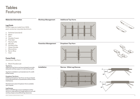### **Tables** Features



Top Horns avaliable to suit standard and XL width EONA frames.

#### **Dropdown Top Horns**

Additional Dropdown Top Horns can be purchased to provide placement of powerboxes without frame interference.

Standard and custom Dropdown Horns available upon request.

#### **Leg Stances**

Stance of EONA legs can be installated at either narrow or wide stance at 3 angle options to suit odd worktop shapes and preffered leg clearances.